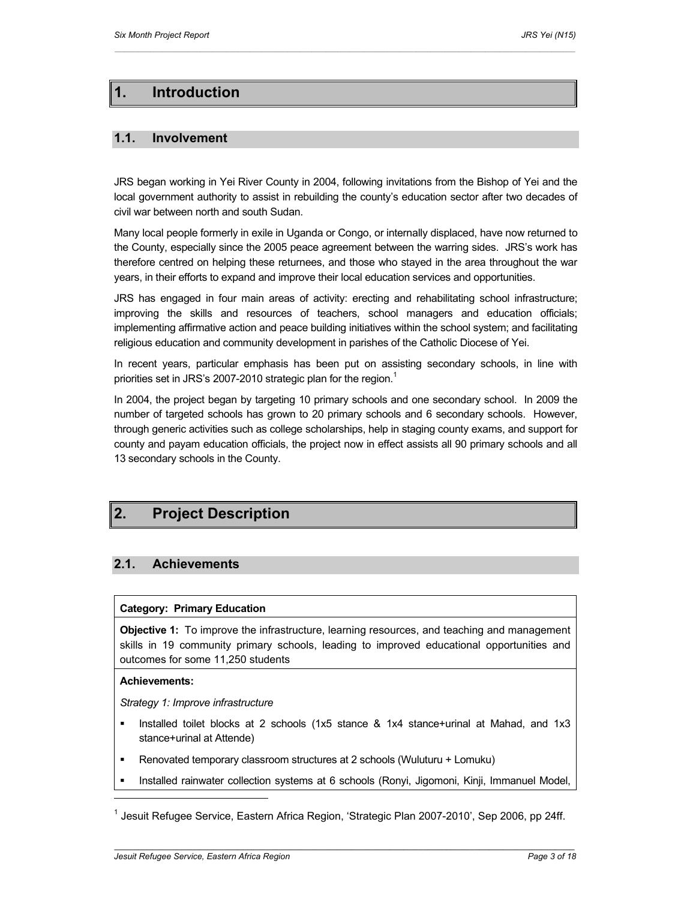# **1. Introduction**

## **1.1. Involvement**

JRS began working in Yei River County in 2004, following invitations from the Bishop of Yei and the local government authority to assist in rebuilding the county's education sector after two decades of civil war between north and south Sudan.

 $\mathcal{L}_\text{max} = \mathcal{L}_\text{max} = \mathcal{L}_\text{max} = \mathcal{L}_\text{max} = \mathcal{L}_\text{max} = \mathcal{L}_\text{max} = \mathcal{L}_\text{max} = \mathcal{L}_\text{max} = \mathcal{L}_\text{max} = \mathcal{L}_\text{max} = \mathcal{L}_\text{max} = \mathcal{L}_\text{max} = \mathcal{L}_\text{max} = \mathcal{L}_\text{max} = \mathcal{L}_\text{max} = \mathcal{L}_\text{max} = \mathcal{L}_\text{max} = \mathcal{L}_\text{max} = \mathcal{$ 

Many local people formerly in exile in Uganda or Congo, or internally displaced, have now returned to the County, especially since the 2005 peace agreement between the warring sides. JRS's work has therefore centred on helping these returnees, and those who stayed in the area throughout the war years, in their efforts to expand and improve their local education services and opportunities.

JRS has engaged in four main areas of activity: erecting and rehabilitating school infrastructure; improving the skills and resources of teachers, school managers and education officials; implementing affirmative action and peace building initiatives within the school system; and facilitating religious education and community development in parishes of the Catholic Diocese of Yei.

In recent years, particular emphasis has been put on assisting secondary schools, in line with priorities set in JRS's 2007-2010 strategic plan for the region.<sup>1</sup>

In 2004, the project began by targeting 10 primary schools and one secondary school. In 2009 the number of targeted schools has grown to 20 primary schools and 6 secondary schools. However, through generic activities such as college scholarships, help in staging county exams, and support for county and payam education officials, the project now in effect assists all 90 primary schools and all 13 secondary schools in the County.

# **2. Project Description**

## **2.1. Achievements**

## **Category: Primary Education**

**Objective 1:** To improve the infrastructure, learning resources, and teaching and management skills in 19 community primary schools, leading to improved educational opportunities and outcomes for some 11,250 students

## **Achievements:**

 $\overline{a}$ 

*Strategy 1: Improve infrastructure* 

- Installed toilet blocks at 2 schools (1x5 stance & 1x4 stance+urinal at Mahad, and 1x3 stance+urinal at Attende)
- Renovated temporary classroom structures at 2 schools (Wuluturu + Lomuku)
- Installed rainwater collection systems at 6 schools (Ronyi, Jigomoni, Kinji, Immanuel Model,

<sup>1</sup> Jesuit Refugee Service, Eastern Africa Region, 'Strategic Plan 2007-2010', Sep 2006, pp 24ff.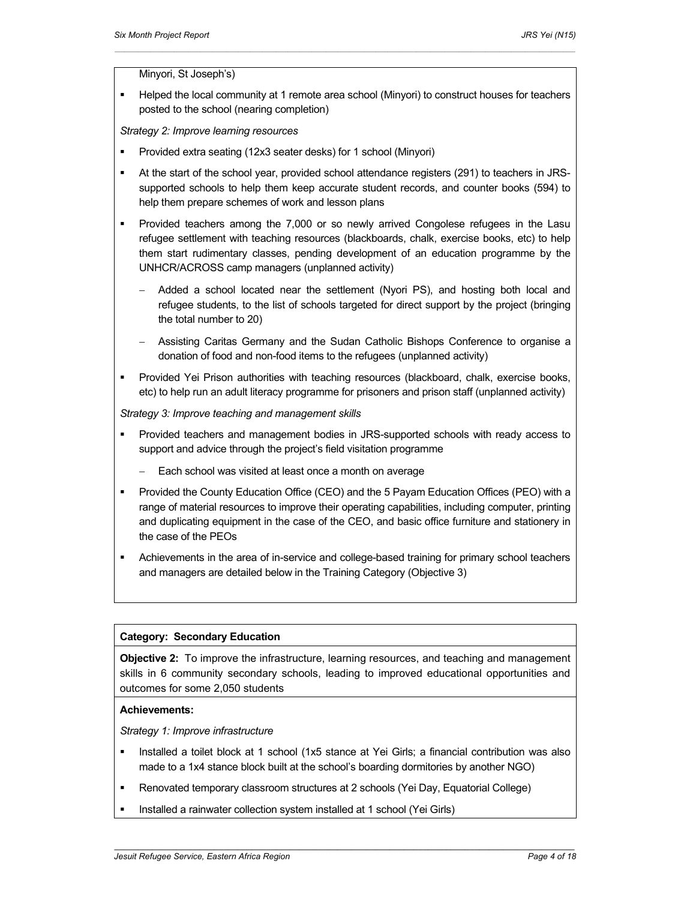Minyori, St Joseph's)

 Helped the local community at 1 remote area school (Minyori) to construct houses for teachers posted to the school (nearing completion)

 $\mathcal{L}_\text{max} = \mathcal{L}_\text{max} = \mathcal{L}_\text{max} = \mathcal{L}_\text{max} = \mathcal{L}_\text{max} = \mathcal{L}_\text{max} = \mathcal{L}_\text{max} = \mathcal{L}_\text{max} = \mathcal{L}_\text{max} = \mathcal{L}_\text{max} = \mathcal{L}_\text{max} = \mathcal{L}_\text{max} = \mathcal{L}_\text{max} = \mathcal{L}_\text{max} = \mathcal{L}_\text{max} = \mathcal{L}_\text{max} = \mathcal{L}_\text{max} = \mathcal{L}_\text{max} = \mathcal{$ 

*Strategy 2: Improve learning resources* 

- Provided extra seating (12x3 seater desks) for 1 school (Minyori)
- At the start of the school year, provided school attendance registers (291) to teachers in JRSsupported schools to help them keep accurate student records, and counter books (594) to help them prepare schemes of work and lesson plans
- Provided teachers among the 7,000 or so newly arrived Congolese refugees in the Lasu refugee settlement with teaching resources (blackboards, chalk, exercise books, etc) to help them start rudimentary classes, pending development of an education programme by the UNHCR/ACROSS camp managers (unplanned activity)
	- Added a school located near the settlement (Nyori PS), and hosting both local and refugee students, to the list of schools targeted for direct support by the project (bringing the total number to 20)
	- Assisting Caritas Germany and the Sudan Catholic Bishops Conference to organise a donation of food and non-food items to the refugees (unplanned activity)
- Provided Yei Prison authorities with teaching resources (blackboard, chalk, exercise books, etc) to help run an adult literacy programme for prisoners and prison staff (unplanned activity)

*Strategy 3: Improve teaching and management skills* 

- Provided teachers and management bodies in JRS-supported schools with ready access to support and advice through the project's field visitation programme
	- Each school was visited at least once a month on average
- Provided the County Education Office (CEO) and the 5 Payam Education Offices (PEO) with a range of material resources to improve their operating capabilities, including computer, printing and duplicating equipment in the case of the CEO, and basic office furniture and stationery in the case of the PEOs
- Achievements in the area of in-service and college-based training for primary school teachers and managers are detailed below in the Training Category (Objective 3)

#### **Category: Secondary Education**

**Objective 2:** To improve the infrastructure, learning resources, and teaching and management skills in 6 community secondary schools, leading to improved educational opportunities and outcomes for some 2,050 students

#### **Achievements:**

*Strategy 1: Improve infrastructure* 

 Installed a toilet block at 1 school (1x5 stance at Yei Girls; a financial contribution was also made to a 1x4 stance block built at the school's boarding dormitories by another NGO)

- Renovated temporary classroom structures at 2 schools (Yei Day, Equatorial College)
- Installed a rainwater collection system installed at 1 school (Yei Girls)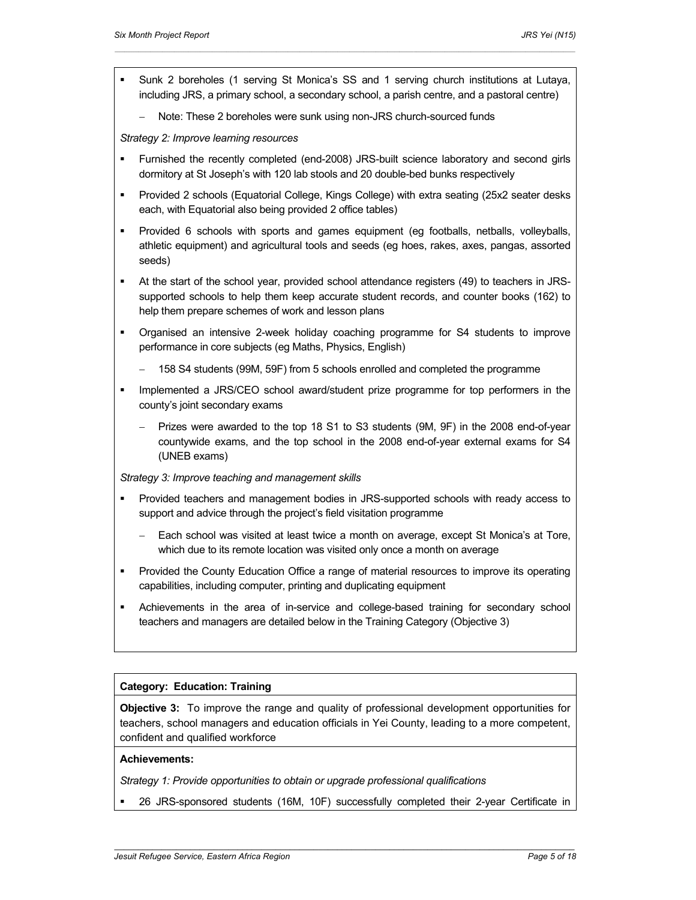Sunk 2 boreholes (1 serving St Monica's SS and 1 serving church institutions at Lutaya, including JRS, a primary school, a secondary school, a parish centre, and a pastoral centre)

 $\mathcal{L}_\text{max} = \mathcal{L}_\text{max} = \mathcal{L}_\text{max} = \mathcal{L}_\text{max} = \mathcal{L}_\text{max} = \mathcal{L}_\text{max} = \mathcal{L}_\text{max} = \mathcal{L}_\text{max} = \mathcal{L}_\text{max} = \mathcal{L}_\text{max} = \mathcal{L}_\text{max} = \mathcal{L}_\text{max} = \mathcal{L}_\text{max} = \mathcal{L}_\text{max} = \mathcal{L}_\text{max} = \mathcal{L}_\text{max} = \mathcal{L}_\text{max} = \mathcal{L}_\text{max} = \mathcal{$ 

Note: These 2 boreholes were sunk using non-JRS church-sourced funds

*Strategy 2: Improve learning resources* 

- Furnished the recently completed (end-2008) JRS-built science laboratory and second girls dormitory at St Joseph's with 120 lab stools and 20 double-bed bunks respectively
- Provided 2 schools (Equatorial College, Kings College) with extra seating (25x2 seater desks each, with Equatorial also being provided 2 office tables)
- Provided 6 schools with sports and games equipment (eg footballs, netballs, volleyballs, athletic equipment) and agricultural tools and seeds (eg hoes, rakes, axes, pangas, assorted seeds)
- At the start of the school year, provided school attendance registers (49) to teachers in JRSsupported schools to help them keep accurate student records, and counter books (162) to help them prepare schemes of work and lesson plans
- Organised an intensive 2-week holiday coaching programme for S4 students to improve performance in core subjects (eg Maths, Physics, English)
	- 158 S4 students (99M, 59F) from 5 schools enrolled and completed the programme
- Implemented a JRS/CEO school award/student prize programme for top performers in the county's joint secondary exams
	- Prizes were awarded to the top 18 S1 to S3 students (9M, 9F) in the 2008 end-of-year countywide exams, and the top school in the 2008 end-of-year external exams for S4 (UNEB exams)

*Strategy 3: Improve teaching and management skills* 

- Provided teachers and management bodies in JRS-supported schools with ready access to support and advice through the project's field visitation programme
	- Each school was visited at least twice a month on average, except St Monica's at Tore, which due to its remote location was visited only once a month on average
- Provided the County Education Office a range of material resources to improve its operating capabilities, including computer, printing and duplicating equipment
- Achievements in the area of in-service and college-based training for secondary school teachers and managers are detailed below in the Training Category (Objective 3)

## **Category: Education: Training**

**Objective 3:** To improve the range and quality of professional development opportunities for teachers, school managers and education officials in Yei County, leading to a more competent, confident and qualified workforce

## **Achievements:**

*Strategy 1: Provide opportunities to obtain or upgrade professional qualifications* 

26 JRS-sponsored students (16M, 10F) successfully completed their 2-year Certificate in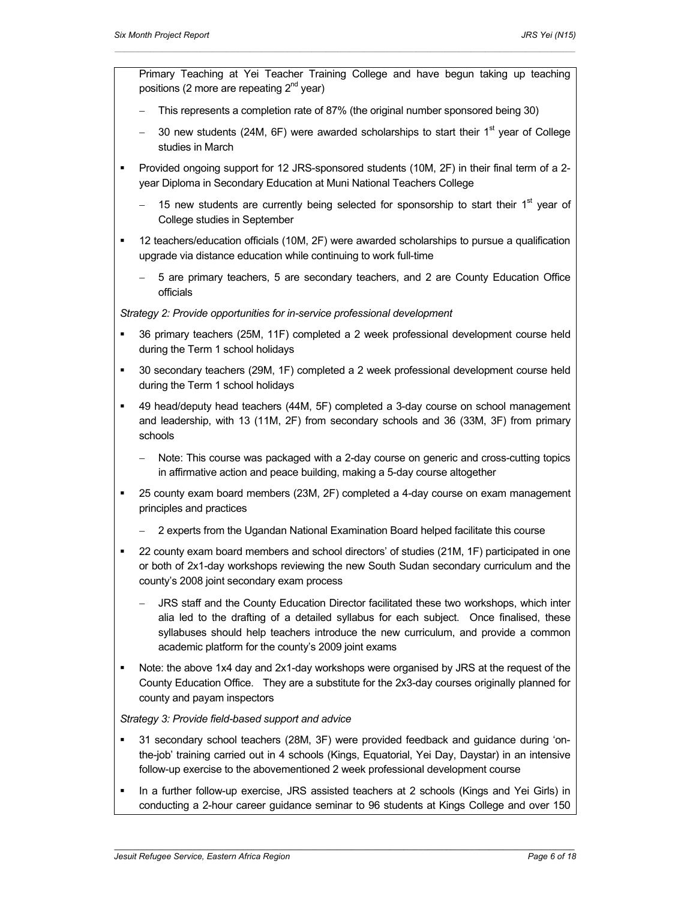- Primary Teaching at Yei Teacher Training College and have begun taking up teaching positions (2 more are repeating  $2^{nd}$  year)
- This represents a completion rate of 87% (the original number sponsored being 30)

 $\mathcal{L}_\text{max} = \mathcal{L}_\text{max} = \mathcal{L}_\text{max} = \mathcal{L}_\text{max} = \mathcal{L}_\text{max} = \mathcal{L}_\text{max} = \mathcal{L}_\text{max} = \mathcal{L}_\text{max} = \mathcal{L}_\text{max} = \mathcal{L}_\text{max} = \mathcal{L}_\text{max} = \mathcal{L}_\text{max} = \mathcal{L}_\text{max} = \mathcal{L}_\text{max} = \mathcal{L}_\text{max} = \mathcal{L}_\text{max} = \mathcal{L}_\text{max} = \mathcal{L}_\text{max} = \mathcal{$ 

- 30 new students (24M,  $6F$ ) were awarded scholarships to start their  $1<sup>st</sup>$  year of College studies in March
- Provided ongoing support for 12 JRS-sponsored students (10M, 2F) in their final term of a 2 year Diploma in Secondary Education at Muni National Teachers College
	- 15 new students are currently being selected for sponsorship to start their  $1<sup>st</sup>$  year of College studies in September
- 12 teachers/education officials (10M, 2F) were awarded scholarships to pursue a qualification upgrade via distance education while continuing to work full-time
	- 5 are primary teachers, 5 are secondary teachers, and 2 are County Education Office officials

*Strategy 2: Provide opportunities for in-service professional development* 

- 36 primary teachers (25M, 11F) completed a 2 week professional development course held during the Term 1 school holidays
- 30 secondary teachers (29M, 1F) completed a 2 week professional development course held during the Term 1 school holidays
- 49 head/deputy head teachers (44M, 5F) completed a 3-day course on school management and leadership, with 13 (11M, 2F) from secondary schools and 36 (33M, 3F) from primary schools
	- Note: This course was packaged with a 2-day course on generic and cross-cutting topics in affirmative action and peace building, making a 5-day course altogether
- 25 county exam board members (23M, 2F) completed a 4-day course on exam management principles and practices
	- 2 experts from the Ugandan National Examination Board helped facilitate this course
- 22 county exam board members and school directors' of studies (21M, 1F) participated in one or both of 2x1-day workshops reviewing the new South Sudan secondary curriculum and the county's 2008 joint secondary exam process
	- JRS staff and the County Education Director facilitated these two workshops, which inter alia led to the drafting of a detailed syllabus for each subject. Once finalised, these syllabuses should help teachers introduce the new curriculum, and provide a common academic platform for the county's 2009 joint exams
- Note: the above 1x4 day and 2x1-day workshops were organised by JRS at the request of the County Education Office. They are a substitute for the 2x3-day courses originally planned for county and payam inspectors

## *Strategy 3: Provide field-based support and advice*

- 31 secondary school teachers (28M, 3F) were provided feedback and guidance during 'onthe-job' training carried out in 4 schools (Kings, Equatorial, Yei Day, Daystar) in an intensive follow-up exercise to the abovementioned 2 week professional development course
- In a further follow-up exercise, JRS assisted teachers at 2 schools (Kings and Yei Girls) in conducting a 2-hour career guidance seminar to 96 students at Kings College and over 150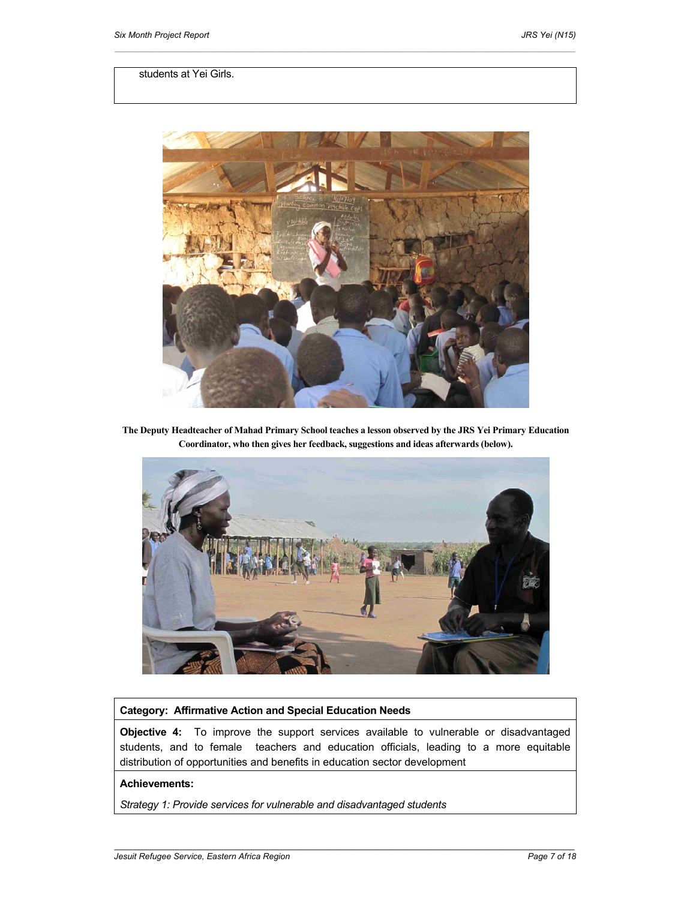## students at Yei Girls.



 $\mathcal{L}_\text{max} = \mathcal{L}_\text{max} = \mathcal{L}_\text{max} = \mathcal{L}_\text{max} = \mathcal{L}_\text{max} = \mathcal{L}_\text{max} = \mathcal{L}_\text{max} = \mathcal{L}_\text{max} = \mathcal{L}_\text{max} = \mathcal{L}_\text{max} = \mathcal{L}_\text{max} = \mathcal{L}_\text{max} = \mathcal{L}_\text{max} = \mathcal{L}_\text{max} = \mathcal{L}_\text{max} = \mathcal{L}_\text{max} = \mathcal{L}_\text{max} = \mathcal{L}_\text{max} = \mathcal{$ 

**The Deputy Headteacher of Mahad Primary School teaches a lesson observed by the JRS Yei Primary Education Coordinator, who then gives her feedback, suggestions and ideas afterwards (below).** 



#### **Category: Affirmative Action and Special Education Needs**

**Objective 4:** To improve the support services available to vulnerable or disadvantaged students, and to female teachers and education officials, leading to a more equitable distribution of opportunities and benefits in education sector development

 *\_\_\_\_\_\_\_\_\_\_\_\_\_\_\_\_\_\_\_\_\_\_\_\_\_\_\_\_\_\_\_\_\_\_\_\_\_\_\_\_\_\_\_\_\_\_\_\_\_\_\_\_\_\_\_\_\_\_\_\_\_\_\_\_\_\_\_\_\_\_\_\_\_\_\_\_\_\_\_\_\_\_\_\_\_\_\_\_\_\_\_\_\_\_\_\_\_* 

#### **Achievements:**

*Strategy 1: Provide services for vulnerable and disadvantaged students*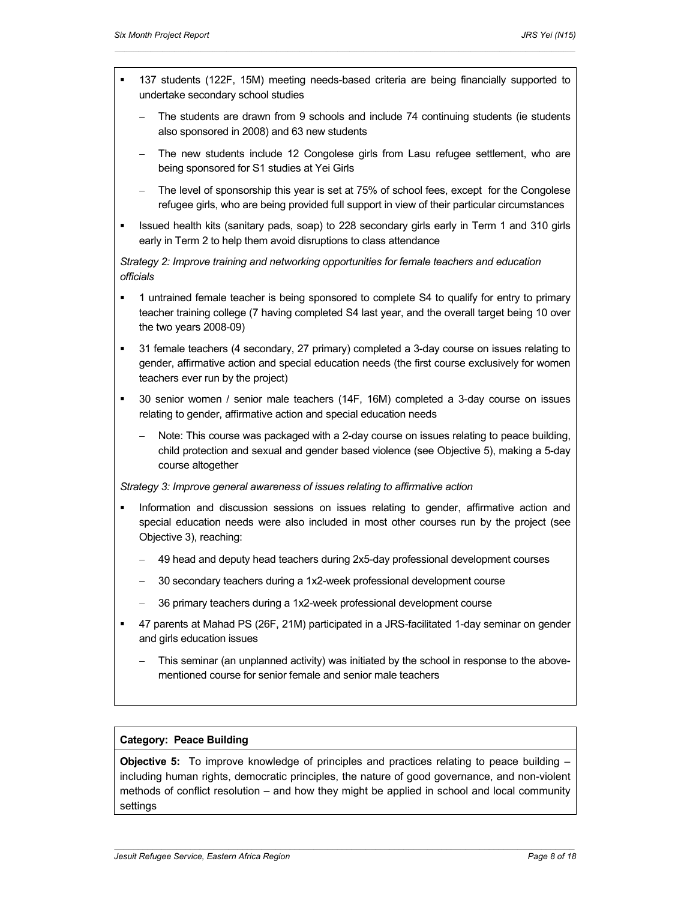137 students (122F, 15M) meeting needs-based criteria are being financially supported to undertake secondary school studies

 $\mathcal{L}_\text{max} = \mathcal{L}_\text{max} = \mathcal{L}_\text{max} = \mathcal{L}_\text{max} = \mathcal{L}_\text{max} = \mathcal{L}_\text{max} = \mathcal{L}_\text{max} = \mathcal{L}_\text{max} = \mathcal{L}_\text{max} = \mathcal{L}_\text{max} = \mathcal{L}_\text{max} = \mathcal{L}_\text{max} = \mathcal{L}_\text{max} = \mathcal{L}_\text{max} = \mathcal{L}_\text{max} = \mathcal{L}_\text{max} = \mathcal{L}_\text{max} = \mathcal{L}_\text{max} = \mathcal{$ 

- The students are drawn from 9 schools and include 74 continuing students (ie students also sponsored in 2008) and 63 new students
- The new students include 12 Congolese girls from Lasu refugee settlement, who are being sponsored for S1 studies at Yei Girls
- The level of sponsorship this year is set at 75% of school fees, except for the Congolese refugee girls, who are being provided full support in view of their particular circumstances
- Issued health kits (sanitary pads, soap) to 228 secondary girls early in Term 1 and 310 girls early in Term 2 to help them avoid disruptions to class attendance

*Strategy 2: Improve training and networking opportunities for female teachers and education officials* 

- 1 untrained female teacher is being sponsored to complete S4 to qualify for entry to primary teacher training college (7 having completed S4 last year, and the overall target being 10 over the two years 2008-09)
- 31 female teachers (4 secondary, 27 primary) completed a 3-day course on issues relating to gender, affirmative action and special education needs (the first course exclusively for women teachers ever run by the project)
- 30 senior women / senior male teachers (14F, 16M) completed a 3-day course on issues relating to gender, affirmative action and special education needs
	- Note: This course was packaged with a 2-day course on issues relating to peace building, child protection and sexual and gender based violence (see Objective 5), making a 5-day course altogether

#### *Strategy 3: Improve general awareness of issues relating to affirmative action*

- Information and discussion sessions on issues relating to gender, affirmative action and special education needs were also included in most other courses run by the project (see Objective 3), reaching:
	- 49 head and deputy head teachers during 2x5-day professional development courses
	- 30 secondary teachers during a 1x2-week professional development course
	- 36 primary teachers during a 1x2-week professional development course
- 47 parents at Mahad PS (26F, 21M) participated in a JRS-facilitated 1-day seminar on gender and girls education issues
	- This seminar (an unplanned activity) was initiated by the school in response to the abovementioned course for senior female and senior male teachers

#### **Category: Peace Building**

**Objective 5:** To improve knowledge of principles and practices relating to peace building – including human rights, democratic principles, the nature of good governance, and non-violent methods of conflict resolution – and how they might be applied in school and local community settings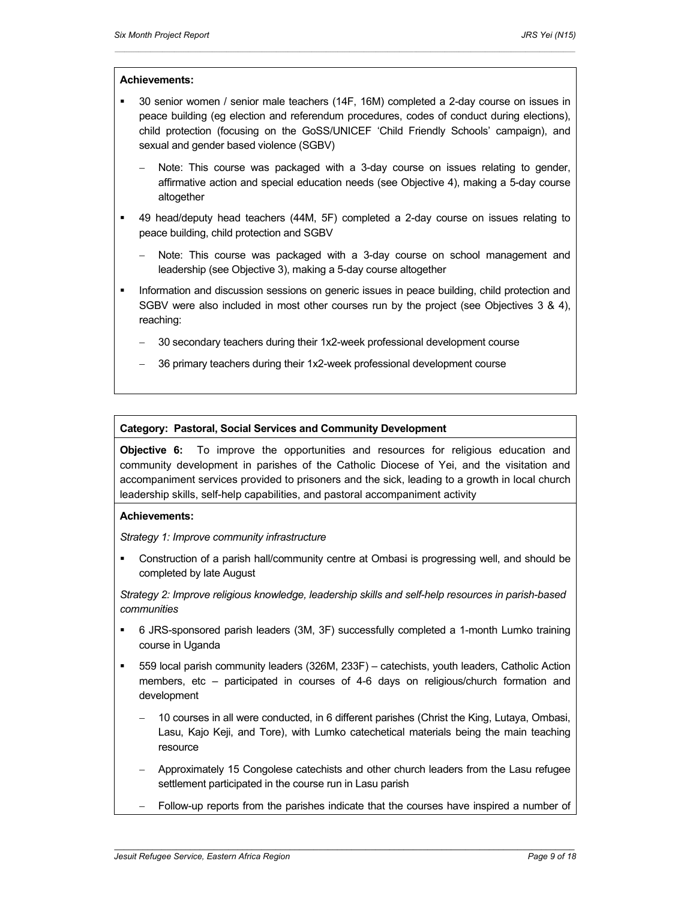### **Achievements:**

 30 senior women / senior male teachers (14F, 16M) completed a 2-day course on issues in peace building (eg election and referendum procedures, codes of conduct during elections), child protection (focusing on the GoSS/UNICEF 'Child Friendly Schools' campaign), and sexual and gender based violence (SGBV)

 $\mathcal{L}_\text{max} = \mathcal{L}_\text{max} = \mathcal{L}_\text{max} = \mathcal{L}_\text{max} = \mathcal{L}_\text{max} = \mathcal{L}_\text{max} = \mathcal{L}_\text{max} = \mathcal{L}_\text{max} = \mathcal{L}_\text{max} = \mathcal{L}_\text{max} = \mathcal{L}_\text{max} = \mathcal{L}_\text{max} = \mathcal{L}_\text{max} = \mathcal{L}_\text{max} = \mathcal{L}_\text{max} = \mathcal{L}_\text{max} = \mathcal{L}_\text{max} = \mathcal{L}_\text{max} = \mathcal{$ 

- Note: This course was packaged with a 3-day course on issues relating to gender, affirmative action and special education needs (see Objective 4), making a 5-day course altogether
- 49 head/deputy head teachers (44M, 5F) completed a 2-day course on issues relating to peace building, child protection and SGBV
	- Note: This course was packaged with a 3-day course on school management and leadership (see Objective 3), making a 5-day course altogether
- Information and discussion sessions on generic issues in peace building, child protection and SGBV were also included in most other courses run by the project (see Objectives 3 & 4), reaching:
	- 30 secondary teachers during their 1x2-week professional development course
	- 36 primary teachers during their 1x2-week professional development course

## **Category: Pastoral, Social Services and Community Development**

**Objective 6:** To improve the opportunities and resources for religious education and community development in parishes of the Catholic Diocese of Yei, and the visitation and accompaniment services provided to prisoners and the sick, leading to a growth in local church leadership skills, self-help capabilities, and pastoral accompaniment activity

#### **Achievements:**

*Strategy 1: Improve community infrastructure* 

 Construction of a parish hall/community centre at Ombasi is progressing well, and should be completed by late August

*Strategy 2: Improve religious knowledge, leadership skills and self-help resources in parish-based communities* 

- 6 JRS-sponsored parish leaders (3M, 3F) successfully completed a 1-month Lumko training course in Uganda
- 559 local parish community leaders (326M, 233F) catechists, youth leaders, Catholic Action members, etc – participated in courses of 4-6 days on religious/church formation and development
	- 10 courses in all were conducted, in 6 different parishes (Christ the King, Lutaya, Ombasi, Lasu, Kajo Keji, and Tore), with Lumko catechetical materials being the main teaching resource
	- Approximately 15 Congolese catechists and other church leaders from the Lasu refugee settlement participated in the course run in Lasu parish

 *\_\_\_\_\_\_\_\_\_\_\_\_\_\_\_\_\_\_\_\_\_\_\_\_\_\_\_\_\_\_\_\_\_\_\_\_\_\_\_\_\_\_\_\_\_\_\_\_\_\_\_\_\_\_\_\_\_\_\_\_\_\_\_\_\_\_\_\_\_\_\_\_\_\_\_\_\_\_\_\_\_\_\_\_\_\_\_\_\_\_\_\_\_\_\_\_\_* 

Follow-up reports from the parishes indicate that the courses have inspired a number of